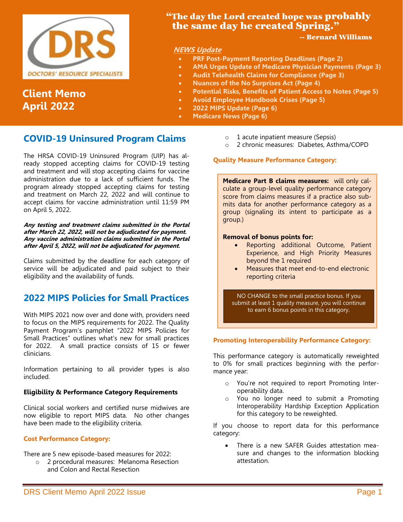

# **Client Memo April 2022**

# **"The day the Lord created hope was probably** the same day he created Spring."

### -- Bernard Williams

## **NEWS Update**

- **PRF Post-Payment Reporting Deadlines (Page 2)**
- **AMA Urges Update of Medicare Physician Payments (Page 3)**
- **Audit Telehealth Claims for Compliance (Page 3)**
- **Nuances of the No Surprises Act (Page 4)**
- **Potential Risks, Benefits of Patient Access to Notes (Page 5)**
- **Avoid Employee Handbook Crises (Page 5)**
- **2022 MIPS Update (Page 6)**
- **Medicare News (Page 6)**

# **COVID-19 Uninsured Program Claims**

The HRSA COVID-19 Uninsured Program (UIP) has already stopped accepting claims for COVID-19 testing and treatment and will stop accepting claims for vaccine administration due to a lack of sufficient funds. The program already stopped accepting claims for testing and treatment on March 22, 2022 and will continue to accept claims for vaccine administration until 11:59 PM on April 5, 2022.

**Any testing and treatment claims submitted in the Portal after March 22, 2022, will not be adjudicated for payment. Any vaccine administration claims submitted in the Portal after April 5, 2022, will not be adjudicated for payment.**

Claims submitted by the deadline for each category of service will be adjudicated and paid subject to their eligibility and the availability of funds.

# **2022 MIPS Policies for Small Practices**

With MIPS 2021 now over and done with, providers need to focus on the MIPS requirements for 2022. The Quality Payment Program's pamphlet "2022 MIPS Policies for Small Practices" outlines what's new for small practices for 2022. A small practice consists of 15 or fewer clinicians.

Information pertaining to all provider types is also included.

### **Eligibility & Performance Category Requirements**

Clinical social workers and certified nurse midwives are now eligible to report MIPS data. No other changes have been made to the eligibility criteria.

### **Cost Performance Category:**

There are 5 new episode-based measures for 2022:

o 2 procedural measures: Melanoma Resection and Colon and Rectal Resection

- o 1 acute inpatient measure (Sepsis)
- o 2 chronic measures: Diabetes, Asthma/COPD

### **Quality Measure Performance Category:**

**Medicare Part B claims measures:** will only calculate a group-level quality performance category score from claims measures if a practice also submits data for another performance category as a group (signaling its intent to participate as a group.)

### **Removal of bonus points for:**

- Reporting additional Outcome, Patient Experience, and High Priority Measures beyond the 1 required
- Measures that meet end-to-end electronic reporting criteria

NO CHANGE to the small practice bonus. If you submit at least 1 quality measure, you will continue to earn 6 bonus points in this category.

### **Promoting Interoperability Performance Category:**

This performance category is automatically reweighted to 0% for small practices beginning with the performance year:

- o You're not required to report Promoting Interoperability data.
- o You no longer need to submit a Promoting Interoperability Hardship Exception Application for this category to be reweighted.

If you choose to report data for this performance category:

• There is a new SAFER Guides attestation measure and changes to the information blocking attestation.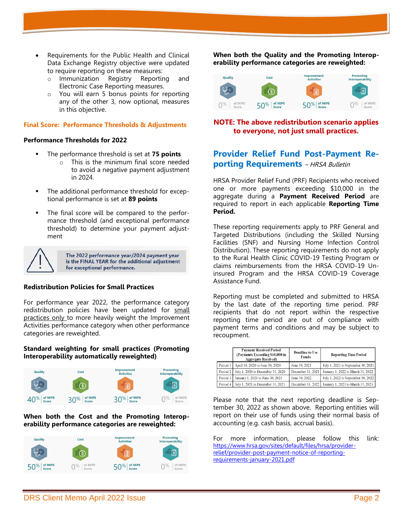- Requirements for the Public Health and Clinical Data Exchange Registry objective were updated to require reporting on these measures:
	- o Immunization Registry Reporting and Electronic Case Reporting measures.
	- o You will earn 5 bonus points for reporting any of the other 3, now optional, measures in this objective.

#### **Final Score: Performance Thresholds & Adjustments**

#### **Performance Thresholds for 2022**

- The performance threshold is set at **75 points**
	- o This is the minimum final score needed to avoid a negative payment adjustment in 2024.
- The additional performance threshold for exceptional performance is set at **89 points**
- The final score will be compared to the performance threshold (and exceptional performance threshold) to determine your payment adjustment



The 2022 performance year/2024 payment year is the FINAL YEAR for the additional adjustment for exceptional performance.

#### **Redistribution Policies for Small Practices**

For performance year 2022, the performance category redistribution policies have been updated for small practices only to more heavily weight the Improvement Activities performance category when other performance categories are reweighted.

#### **Standard weighting for small practices (Promoting Interoperability automatically reweighted)**



#### **When both the Cost and the Promoting Interoperability performance categories are reweighted:**



**When both the Quality and the Promoting Interoperability performance categories are reweighted:**



### **NOTE: The above redistribution scenario applies to everyone, not just small practices.**

# **Provider Relief Fund Post-Payment Reporting Requirements** - HRSA Bulletin

HRSA Provider Relief Fund (PRF) Recipients who received one or more payments exceeding \$10,000 in the aggregate during a **Payment Received Period** are required to report in each applicable **Reporting Time Period.** 

These reporting requirements apply to PRF General and Targeted Distributions (including the Skilled Nursing Facilities (SNF) and Nursing Home Infection Control Distribution). These reporting requirements do not apply to the Rural Health Clinic COVID-19 Testing Program or claims reimbursements from the HRSA COVID-19 Uninsured Program and the HRSA COVID-19 Coverage Assistance Fund.

Reporting must be completed and submitted to HRSA by the last date of the reporting time period. PRF recipients that do not report within the respective reporting time period are out of compliance with payment terms and conditions and may be subject to recoupment.

|          | <b>Payment Received Period</b><br>(Payments Exceeding \$10,000 in<br><b>Aggregate Received)</b> | <b>Deadline to Use</b><br><b>Funds</b> | <b>Reporting Time Period</b>       |
|----------|-------------------------------------------------------------------------------------------------|----------------------------------------|------------------------------------|
| Period 1 | April 10, 2020 to June 30, 2020                                                                 | June 30, 2021                          | July 1, 2021 to September 30, 2021 |
|          | Period 2   July 1, 2020 to December 31, 2020                                                    | December 31, 2021                      | January 1, 2022 to March 31, 2022  |
|          | Period 3 January 1, 2021 to June 30, 2021                                                       | June 30, 2022                          | July 1, 2022 to September 30, 2022 |
|          | Period 4   July 1, 2021 to December 31, 2021                                                    | December 31, 2022                      | January 1, 2023 to March 31, 2023  |

Please note that the next reporting deadline is September 30, 2022 as shown above. Reporting entities will report on their use of funds using their normal basis of accounting (e.g. cash basis, accrual basis).

For more information, please follow this link: [https://www.hrsa.gov/sites/default/files/hrsa/provider](https://www.hrsa.gov/sites/default/files/hrsa/provider-relief/provider-post-payment-notice-of-reporting-requirements-january-2021.pdf)[relief/provider-post-payment-notice-of-reporting](https://www.hrsa.gov/sites/default/files/hrsa/provider-relief/provider-post-payment-notice-of-reporting-requirements-january-2021.pdf)[requirements-january-2021.pdf](https://www.hrsa.gov/sites/default/files/hrsa/provider-relief/provider-post-payment-notice-of-reporting-requirements-january-2021.pdf)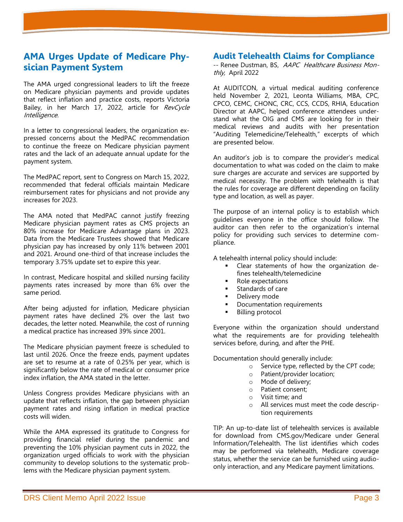# **AMA Urges Update of Medicare Physician Payment System**

The AMA urged congressional leaders to lift the freeze on Medicare physician payments and provide updates that reflect inflation and practice costs, reports Victoria Bailey, in her March 17, 2022, article for RevCycle Intelligence.

In a letter to congressional leaders, the organization expressed concerns about the MedPAC recommendation to continue the freeze on Medicare physician payment rates and the lack of an adequate annual update for the payment system.

The MedPAC report, sent to Congress on March 15, 2022, recommended that federal officials maintain Medicare reimbursement rates for physicians and not provide any increases for 2023.

The AMA noted that MedPAC cannot justify freezing Medicare physician payment rates as CMS projects an 80% increase for Medicare Advantage plans in 2023. Data from the Medicare Trustees showed that Medicare physician pay has increased by only 11% between 2001 and 2021. Around one-third of that increase includes the temporary 3.75% update set to expire this year.

In contrast, Medicare hospital and skilled nursing facility payments rates increased by more than 6% over the same period.

After being adjusted for inflation, Medicare physician payment rates have declined 2% over the last two decades, the letter noted. Meanwhile, the cost of running a medical practice has increased 39% since 2001.

The Medicare physician payment freeze is scheduled to last until 2026. Once the freeze ends, payment updates are set to resume at a rate of 0.25% per year, which is significantly below the rate of medical or consumer price index inflation, the AMA stated in the letter.

Unless Congress provides Medicare physicians with an update that reflects inflation, the gap between physician payment rates and rising inflation in medical practice costs will widen.

While the AMA expressed its gratitude to Congress for providing financial relief during the pandemic and preventing the 10% physician payment cuts in 2022, the organization urged officials to work with the physician community to develop solutions to the systematic problems with the Medicare physician payment system.

## **Audit Telehealth Claims for Compliance**

-- Renee Dustman, BS, AAPC Healthcare Business Monthly, April 2022

At AUDITCON, a virtual medical auditing conference held November 2, 2021, Leonta Williams, MBA, CPC, CPCO, CEMC, CHONC, CRC, CCS, CCDS, RHIA, Education Director at AAPC, helped conference attendees understand what the OIG and CMS are looking for in their medical reviews and audits with her presentation "Auditing Telemedicine/Telehealth," excerpts of which are presented below.

An auditor's job is to compare the provider's medical documentation to what was coded on the claim to make sure charges are accurate and services are supported by medical necessity. The problem with telehealth is that the rules for coverage are different depending on facility type and location, as well as payer.

The purpose of an internal policy is to establish which guidelines everyone in the office should follow. The auditor can then refer to the organization's internal policy for providing such services to determine compliance.

A telehealth internal policy should include:

- Clear statements of how the organization defines telehealth/telemedicine
- Role expectations
- Standards of care
- Delivery mode
- Documentation requirements
- **Billing protocol**

Everyone within the organization should understand what the requirements are for providing telehealth services before, during, and after the PHE.

Documentation should generally include:

- o Service type, reflected by the CPT code;
- o Patient/provider location;
- o Mode of delivery;
- o Patient consent;
- o Visit time; and
- o All services must meet the code description requirements

TIP: An up-to-date list of telehealth services is available for download from CMS.gov/Medicare under General Information/Telehealth. The list identifies which codes may be performed via telehealth, Medicare coverage status, whether the service can be furnished using audioonly interaction, and any Medicare payment limitations.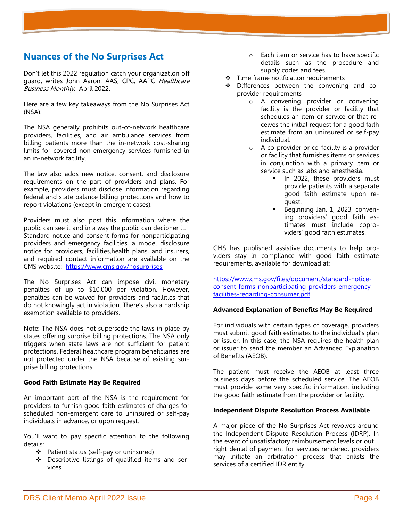# **Nuances of the No Surprises Act**

Don't let this 2022 regulation catch your organization off guard, writes John Aaron, AAS, CPC, AAPC Healthcare Business Monthly, April 2022.

Here are a few key takeaways from the No Surprises Act (NSA).

The NSA generally prohibits out-of-network healthcare providers, facilities, and air ambulance services from billing patients more than the in-network cost-sharing limits for covered non-emergency services furnished in an in-network facility.

The law also adds new notice, consent, and disclosure requirements on the part of providers and plans. For example, providers must disclose information regarding federal and state balance billing protections and how to report violations (except in emergent cases).

Providers must also post this information where the public can see it and in a way the public can decipher it. Standard notice and consent forms for nonparticipating providers and emergency facilities, a model disclosure notice for providers, facilities,health plans, and insurers, and required contact information are available on the CMS website: <https://www.cms.gov/nosurprises>

The No Surprises Act can impose civil monetary penalties of up to \$10,000 per violation. However, penalties can be waived for providers and facilities that do not knowingly act in violation. There's also a hardship exemption available to providers.

Note: The NSA does not supersede the laws in place by states offering surprise billing protections. The NSA only triggers when state laws are not sufficient for patient protections. Federal healthcare program beneficiaries are not protected under the NSA because of existing surprise billing protections.

#### **Good Faith Estimate May Be Required**

An important part of the NSA is the requirement for providers to furnish good faith estimates of charges for scheduled non-emergent care to uninsured or self-pay individuals in advance, or upon request.

You'll want to pay specific attention to the following details:

- ❖ Patient status (self-pay or uninsured)
- ❖ Descriptive listings of qualified items and services
- o Each item or service has to have specific details such as the procedure and supply codes and fees.
- ❖ Time frame notification requirements
- ❖ Differences between the convening and coprovider requirements
	- o A convening provider or convening facility is the provider or facility that schedules an item or service or that receives the initial request for a good faith estimate from an uninsured or self-pay individual.
	- o A co-provider or co-facility is a provider or facility that furnishes items or services in conjunction with a primary item or service such as labs and anesthesia.
		- In 2022, these providers must provide patients with a separate good faith estimate upon request.
		- Beginning Jan. 1, 2023, convening providers' good faith estimates must include coproviders' good faith estimates.

CMS has published assistive documents to help providers stay in compliance with good faith estimate requirements, available for download at:

[https://www.cms.gov/files/document/standard-notice](https://www.cms.gov/files/document/standard-notice-consent-forms-nonparticipating-providers-emergency-facilities-regarding-consumer.pdf)[consent-forms-nonparticipating-providers-emergency](https://www.cms.gov/files/document/standard-notice-consent-forms-nonparticipating-providers-emergency-facilities-regarding-consumer.pdf)[facilities-regarding-consumer.pdf](https://www.cms.gov/files/document/standard-notice-consent-forms-nonparticipating-providers-emergency-facilities-regarding-consumer.pdf)

#### **Advanced Explanation of Benefits May Be Required**

For individuals with certain types of coverage, providers must submit good faith estimates to the individual's plan or issuer. In this case, the NSA requires the health plan or issuer to send the member an Advanced Explanation of Benefits (AEOB).

The patient must receive the AEOB at least three business days before the scheduled service. The AEOB must provide some very specific information, including the good faith estimate from the provider or facility.

#### **Independent Dispute Resolution Process Available**

A major piece of the No Surprises Act revolves around the Independent Dispute Resolution Process (IDRP). In the event of unsatisfactory reimbursement levels or out right denial of payment for services rendered, providers may initiate an arbitration process that enlists the services of a certified IDR entity.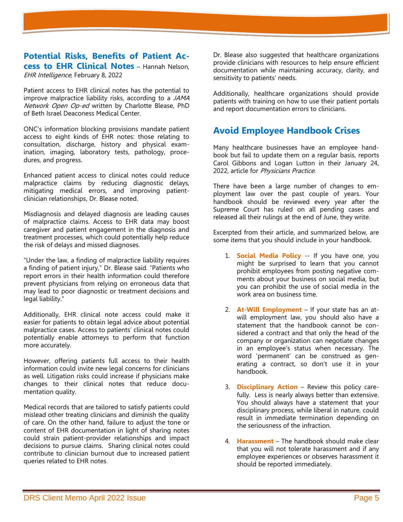**Potential Risks, Benefits of Patient Access to EHR Clinical Notes** – Hannah Nelson, EHR Intelligence, February 8, 2022

Patient access to EHR clinical notes has the potential to improve malpractice liability risks, according to a JAMA Network Open Op-ed written by Charlotte Blease, PhD of Beth Israel Deaconess Medical Center.

ONC's information blocking provisions mandate patient access to eight kinds of EHR notes: those relating to consultation, discharge, history and physical examination, imaging, laboratory tests, pathology, procedures, and progress.

Enhanced patient access to clinical notes could reduce malpractice claims by reducing diagnostic delays, mitigating medical errors, and improving patientclinician relationships, Dr. Blease noted.

Misdiagnosis and delayed diagnosis are leading causes of malpractice claims. Access to EHR data may boost caregiver and patient engagement in the diagnosis and treatment processes, which could potentially help reduce the risk of delays and missed diagnoses.

"Under the law, a finding of malpractice liability requires a finding of patient injury," Dr. Blease said. "Patients who report errors in their health information could therefore prevent physicians from relying on erroneous data that may lead to poor diagnostic or treatment decisions and legal liability."

Additionally, EHR clinical note access could make it easier for patients to obtain legal advice about potential malpractice cases. Access to patients' clinical notes could potentially enable attorneys to perform that function more accurately.

However, offering patients full access to their health information could invite new legal concerns for clinicians as well. Litigation risks could increase if physicians make changes to their clinical notes that reduce documentation quality.

Medical records that are tailored to satisfy patients could mislead other treating clinicians and diminish the quality of care. On the other hand, failure to adjust the tone or content of EHR documentation in light of sharing notes could strain patient-provider relationships and impact decisions to pursue claims. Sharing clinical notes could contribute to clinician burnout due to increased patient queries related to EHR notes.

Dr. Blease also suggested that healthcare organizations provide clinicians with resources to help ensure efficient documentation while maintaining accuracy, clarity, and sensitivity to patients' needs.

Additionally, healthcare organizations should provide patients with training on how to use their patient portals and report documentation errors to clinicians.

# **Avoid Employee Handbook Crises**

Many healthcare businesses have an employee handbook but fail to update them on a regular basis, reports Carol Gibbons and Logan Lutton in their January 24, 2022, article for Physicians Practice.

There have been a large number of changes to employment law over the past couple of years. Your handbook should be reviewed every year after the Supreme Court has ruled on all pending cases and released all their rulings at the end of June, they write.

Excerpted from their article, and summarized below, are some items that you should include in your handbook.

- 1. **Social Media Policy** -- If you have one, you might be surprised to learn that you cannot prohibit employees from posting negative comments about your business on social media, but you can prohibit the use of social media in the work area on business time.
- 2. **At-Will Employment** If your state has an atwill employment law, you should also have a statement that the handbook cannot be considered a contract and that only the head of the company or organization can negotiate changes in an employee's status when necessary. The word 'permanent' can be construed as generating a contract, so don't use it in your handbook.
- 3. **Disciplinary Action** Review this policy carefully. Less is nearly always better than extensive. You should always have a statement that your disciplinary process, while liberal in nature, could result in immediate termination depending on the seriousness of the infraction.
- 4. **Harassment**  The handbook should make clear that you will not tolerate harassment and if any employee experiences or observes harassment it should be reported immediately.